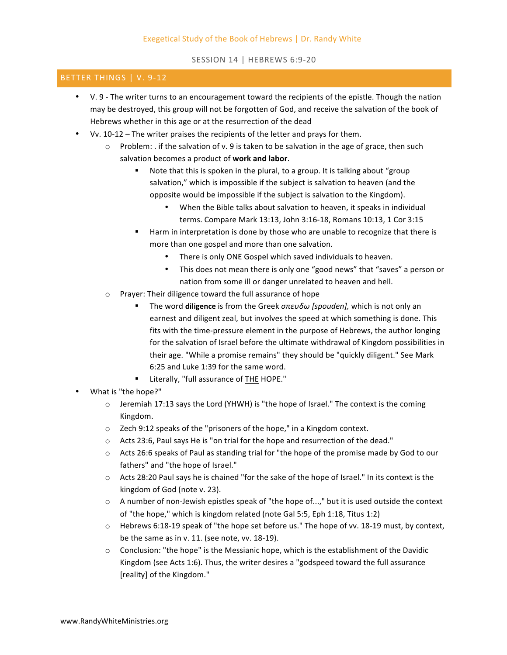SESSION 14 | HEBREWS 6:9-20

## BETTER THINGS | V. 9-12

- V. 9 The writer turns to an encouragement toward the recipients of the epistle. Though the nation may be destroyed, this group will not be forgotten of God, and receive the salvation of the book of Hebrews whether in this age or at the resurrection of the dead
- Vv. 10-12 The writer praises the recipients of the letter and prays for them.
	- Problem: . if the salvation of v. 9 is taken to be salvation in the age of grace, then such salvation becomes a product of work and labor.
		- Note that this is spoken in the plural, to a group. It is talking about "group" salvation," which is impossible if the subject is salvation to heaven (and the opposite would be impossible if the subject is salvation to the Kingdom).
			- When the Bible talks about salvation to heaven, it speaks in individual terms. Compare Mark 13:13, John 3:16-18, Romans 10:13, 1 Cor 3:15
		- Harm in interpretation is done by those who are unable to recognize that there is more than one gospel and more than one salvation.
			- There is only ONE Gospel which saved individuals to heaven.
			- This does not mean there is only one "good news" that "saves" a person or nation from some ill or danger unrelated to heaven and hell.
	- $\circ$  Prayer: Their diligence toward the full assurance of hope
		- The word **diligence** is from the Greek *σπευδω [spouden]*, which is not only an earnest and diligent zeal, but involves the speed at which something is done. This fits with the time-pressure element in the purpose of Hebrews, the author longing for the salvation of Israel before the ultimate withdrawal of Kingdom possibilities in their age. "While a promise remains" they should be "quickly diligent." See Mark 6:25 and Luke 1:39 for the same word.
		- **E** Literally, "full assurance of THE HOPE."
- What is "the hope?"
	- $\circ$  Jeremiah 17:13 says the Lord (YHWH) is "the hope of Israel." The context is the coming Kingdom.
	- $\circ$  Zech 9:12 speaks of the "prisoners of the hope," in a Kingdom context.
	- $\circ$  Acts 23:6, Paul says He is "on trial for the hope and resurrection of the dead."
	- $\circ$  Acts 26:6 speaks of Paul as standing trial for "the hope of the promise made by God to our fathers" and "the hope of Israel."
	- $\circ$  Acts 28:20 Paul says he is chained "for the sake of the hope of Israel." In its context is the kingdom of God (note v. 23).
	- $\circ$  A number of non-Jewish epistles speak of "the hope of...," but it is used outside the context of "the hope," which is kingdom related (note Gal 5:5, Eph 1:18, Titus 1:2)
	- $\circ$  Hebrews 6:18-19 speak of "the hope set before us." The hope of vv. 18-19 must, by context, be the same as in v.  $11.$  (see note, vv.  $18-19$ ).
	- $\circ$  Conclusion: "the hope" is the Messianic hope, which is the establishment of the Davidic Kingdom (see Acts 1:6). Thus, the writer desires a "godspeed toward the full assurance [reality] of the Kingdom."